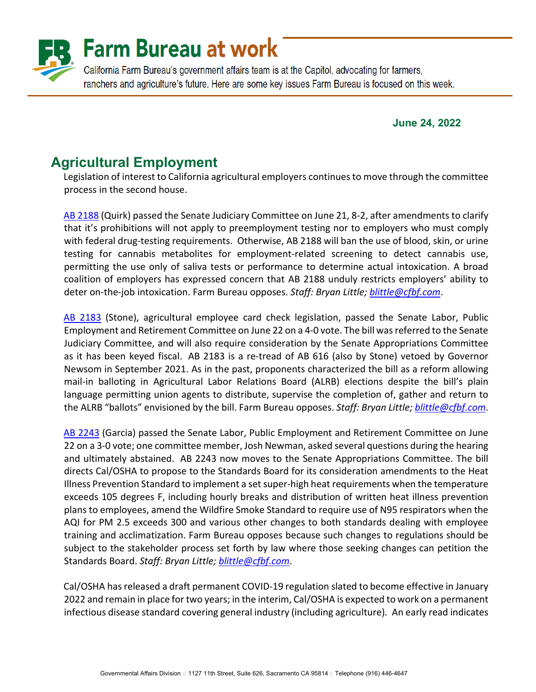

#### **June 24, 2022**

# **Agricultural Employment**

Legislation of interest to California agricultural employers continues to move through the committee process in the second house.

[AB 2188](https://leginfo.legislature.ca.gov/faces/billNavClient.xhtml?bill_id=202120220AB2188) (Quirk) passed the Senate Judiciary Committee on June 21, 8-2, after amendments to clarify that it's prohibitions will not apply to preemployment testing nor to employers who must comply with federal drug-testing requirements. Otherwise, AB 2188 will ban the use of blood, skin, or urine testing for cannabis metabolites for employment-related screening to detect cannabis use, permitting the use only of saliva tests or performance to determine actual intoxication. A broad coalition of employers has expressed concern that AB 2188 unduly restricts employers' ability to deter on-the-job intoxication. Farm Bureau opposes. *Staff: Bryan Little; [blittle@cfbf.com](mailto:blittle@cfbf.com)*.

[AB 2183](https://leginfo.legislature.ca.gov/faces/billNavClient.xhtml?bill_id=202120220AB2183) (Stone), agricultural employee card check legislation, passed the Senate Labor, Public Employment and Retirement Committee on June 22 on a 4-0 vote. The bill was referred to the Senate Judiciary Committee, and will also require consideration by the Senate Appropriations Committee as it has been keyed fiscal. AB 2183 is a re-tread of AB 616 (also by Stone) vetoed by Governor Newsom in September 2021. As in the past, proponents characterized the bill as a reform allowing mail-in balloting in Agricultural Labor Relations Board (ALRB) elections despite the bill's plain language permitting union agents to distribute, supervise the completion of, gather and return to the ALRB "ballots" envisioned by the bill. Farm Bureau opposes. *Staff: Bryan Little; [blittle@cfbf.com](mailto:blittle@cfbf.com)*.

[AB 2243](https://leginfo.legislature.ca.gov/faces/billNavClient.xhtml?bill_id=202120220AB2243) (Garcia) passed the Senate Labor, Public Employment and Retirement Committee on June 22 on a 3-0 vote; one committee member, Josh Newman, asked several questions during the hearing and ultimately abstained. AB 2243 now moves to the Senate Appropriations Committee. The bill directs Cal/OSHA to propose to the Standards Board for its consideration amendments to the Heat Illness Prevention Standard to implement a set super-high heat requirements when the temperature exceeds 105 degrees F, including hourly breaks and distribution of written heat illness prevention plans to employees, amend the Wildfire Smoke Standard to require use of N95 respirators when the AQI for PM 2.5 exceeds 300 and various other changes to both standards dealing with employee training and acclimatization. Farm Bureau opposes because such changes to regulations should be subject to the stakeholder process set forth by law where those seeking changes can petition the Standards Board. *Staff: Bryan Little[; blittle@cfbf.com](mailto:blittle@cfbf.com)*.

Cal/OSHA has released a draft permanent COVID-19 regulation slated to become effective in January 2022 and remain in place for two years; in the interim, Cal/OSHA is expected to work on a permanent infectious disease standard covering general industry (including agriculture). An early read indicates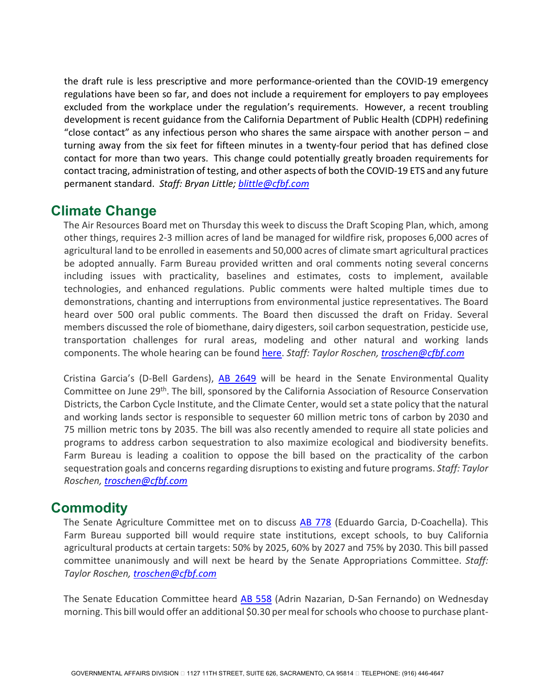the draft rule is less prescriptive and more performance-oriented than the COVID-19 emergency regulations have been so far, and does not include a requirement for employers to pay employees excluded from the workplace under the regulation's requirements. However, a recent troubling development is recent guidance from the California Department of Public Health (CDPH) redefining "close contact" as any infectious person who shares the same airspace with another person – and turning away from the six feet for fifteen minutes in a twenty-four period that has defined close contact for more than two years. This change could potentially greatly broaden requirements for contact tracing, administration of testing, and other aspects of both the COVID-19 ETS and any future permanent standard. *Staff: Bryan Little; [blittle@cfbf.com](mailto:blittle@cfbf.com)*

### **Climate Change**

The Air Resources Board met on Thursday this week to discuss the Draft Scoping Plan, which, among other things, requires 2-3 million acres of land be managed for wildfire risk, proposes 6,000 acres of agricultural land to be enrolled in easements and 50,000 acres of climate smart agricultural practices be adopted annually. Farm Bureau provided written and oral comments noting several concerns including issues with practicality, baselines and estimates, costs to implement, available technologies, and enhanced regulations. Public comments were halted multiple times due to demonstrations, chanting and interruptions from environmental justice representatives. The Board heard over 500 oral public comments. The Board then discussed the draft on Friday. Several members discussed the role of biomethane, dairy digesters, soil carbon sequestration, pesticide use, transportation challenges for rural areas, modeling and other natural and working lands components. The whole hearing can be found [here.](https://video.calepa.ca.gov/#/) *Staff: Taylor Roschen, [troschen@cfbf.com](mailto:troschen@cfbf.com)* 

Cristina Garcia's (D-Bell Gardens), [AB 2649](https://leginfo.legislature.ca.gov/faces/billNavClient.xhtml?bill_id=202120220AB2649) will be heard in the Senate Environmental Quality Committee on June 29<sup>th</sup>. The bill, sponsored by the California Association of Resource Conservation Districts, the Carbon Cycle Institute, and the Climate Center, would set a state policy that the natural and working lands sector is responsible to sequester 60 million metric tons of carbon by 2030 and 75 million metric tons by 2035. The bill was also recently amended to require all state policies and programs to address carbon sequestration to also maximize ecological and biodiversity benefits. Farm Bureau is leading a coalition to oppose the bill based on the practicality of the carbon sequestration goals and concerns regarding disruptions to existing and future programs. *Staff: Taylor Roschen, [troschen@cfbf.com](mailto:troschen@cfbf.com)*

# **Commodity**

The Senate Agriculture Committee met on to discuss [AB 778](https://leginfo.legislature.ca.gov/faces/billNavClient.xhtml?bill_id=202120220AB778) (Eduardo Garcia, D-Coachella). This Farm Bureau supported bill would require state institutions, except schools, to buy California agricultural products at certain targets: 50% by 2025, 60% by 2027 and 75% by 2030. This bill passed committee unanimously and will next be heard by the Senate Appropriations Committee. *Staff: Taylor Roschen, [troschen@cfbf.com](mailto:troschen@cfbf.com)* 

The Senate Education Committee heard [AB 558](https://leginfo.legislature.ca.gov/faces/billNavClient.xhtml?bill_id=202120220AB558) (Adrin Nazarian, D-San Fernando) on Wednesday morning. This bill would offer an additional \$0.30 per meal for schools who choose to purchase plant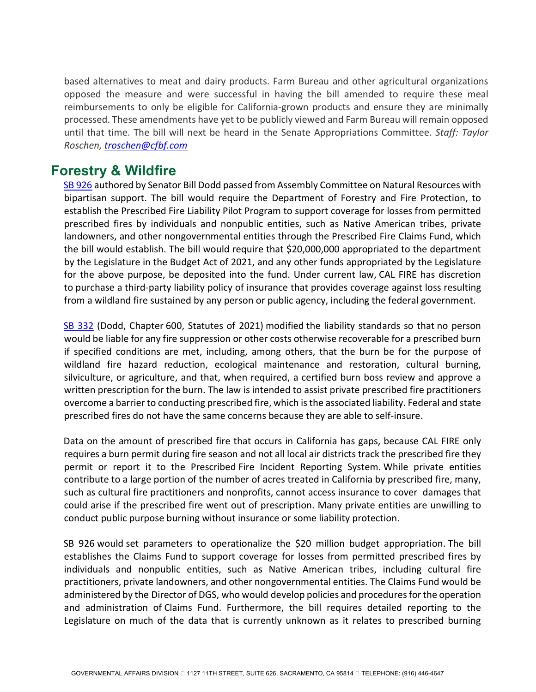based alternatives to meat and dairy products. Farm Bureau and other agricultural organizations opposed the measure and were successful in having the bill amended to require these meal reimbursements to only be eligible for California-grown products and ensure they are minimally processed. These amendments have yet to be publicly viewed and Farm Bureau will remain opposed until that time. The bill will next be heard in the Senate Appropriations Committee. *Staff: Taylor Roschen, [troschen@cfbf.com](mailto:troschen@cfbf.com)* 

### **Forestry & Wildfire**

[SB 926](https://leginfo.legislature.ca.gov/faces/billNavClient.xhtml?bill_id=202120220SB926) authored by Senator Bill Dodd passed from Assembly Committee on Natural Resources with bipartisan support. The bill would require the Department of Forestry and Fire Protection, to establish the Prescribed Fire Liability Pilot Program to support coverage for losses from permitted prescribed fires by individuals and nonpublic entities, such as Native American tribes, private landowners, and other nongovernmental entities through the Prescribed Fire Claims Fund, which the bill would establish. The bill would require that \$20,000,000 appropriated to the department by the Legislature in the Budget Act of 2021, and any other funds appropriated by the Legislature for the above purpose, be deposited into the fund. Under current law, CAL FIRE has discretion to purchase a third-party liability policy of insurance that provides coverage against loss resulting from a wildland fire sustained by any person or public agency, including the federal government.

[SB 332](https://leginfo.legislature.ca.gov/faces/billNavClient.xhtml?bill_id=202120220SB332) (Dodd, Chapter 600, Statutes of 2021) modified the liability standards so that no person would be liable for any fire suppression or other costs otherwise recoverable for a prescribed burn if specified conditions are met, including, among others, that the burn be for the purpose of wildland fire hazard reduction, ecological maintenance and restoration, cultural burning, silviculture, or agriculture, and that, when required, a certified burn boss review and approve a written prescription for the burn. The law is intended to assist private prescribed fire practitioners overcome a barrier to conducting prescribed fire, which is the associated liability. Federal and state prescribed fires do not have the same concerns because they are able to self-insure.

Data on the amount of prescribed fire that occurs in California has gaps, because CAL FIRE only requires a burn permit during fire season and not all local air districts track the prescribed fire they permit or report it to the Prescribed Fire Incident Reporting System. While private entities contribute to a large portion of the number of acres treated in California by prescribed fire, many, such as cultural fire practitioners and nonprofits, cannot access insurance to cover damages that could arise if the prescribed fire went out of prescription. Many private entities are unwilling to conduct public purpose burning without insurance or some liability protection.

SB 926 would set parameters to operationalize the \$20 million budget appropriation. The bill establishes the Claims Fund to support coverage for losses from permitted prescribed fires by individuals and nonpublic entities, such as Native American tribes, including cultural fire practitioners, private landowners, and other nongovernmental entities. The Claims Fund would be administered by the Director of DGS, who would develop policies and procedures for the operation and administration of Claims Fund. Furthermore, the bill requires detailed reporting to the Legislature on much of the data that is currently unknown as it relates to prescribed burning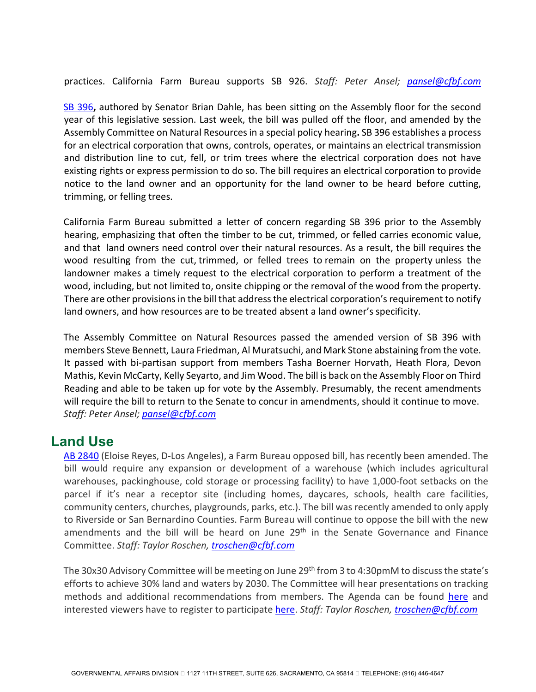practices. California Farm Bureau supports SB 926. *Staff: Peter Ansel; [pansel@cfbf.com](mailto:pansel@cfbf.com)*

[SB 396](https://leginfo.legislature.ca.gov/faces/billNavClient.xhtml?bill_id=202120220SB396)**,** authored by Senator Brian Dahle, has been sitting on the Assembly floor for the second year of this legislative session. Last week, the bill was pulled off the floor, and amended by the Assembly Committee on Natural Resources in a special policy hearing**.** SB 396 establishes a process for an electrical corporation that owns, controls, operates, or maintains an electrical transmission and distribution line to cut, fell, or trim trees where the electrical corporation does not have existing rights or express permission to do so. The bill requires an electrical corporation to provide notice to the land owner and an opportunity for the land owner to be heard before cutting, trimming, or felling trees.

California Farm Bureau submitted a letter of concern regarding SB 396 prior to the Assembly hearing, emphasizing that often the timber to be cut, trimmed, or felled carries economic value, and that land owners need control over their natural resources. As a result, the bill requires the wood resulting from the cut, trimmed, or felled trees to remain on the property unless the landowner makes a timely request to the electrical corporation to perform a treatment of the wood, including, but not limited to, onsite chipping or the removal of the wood from the property. There are other provisions in the bill that address the electrical corporation's requirement to notify land owners, and how resources are to be treated absent a land owner's specificity.

The Assembly Committee on Natural Resources passed the amended version of SB 396 with members Steve Bennett, Laura Friedman, Al Muratsuchi, and Mark Stone abstaining from the vote. It passed with bi-partisan support from members Tasha Boerner Horvath, Heath Flora, Devon Mathis, Kevin McCarty, Kelly Seyarto, and Jim Wood. The bill is back on the Assembly Floor on Third Reading and able to be taken up for vote by the Assembly. Presumably, the recent amendments will require the bill to return to the Senate to concur in amendments, should it continue to move. *Staff: Peter Ansel; [pansel@cfbf.com](mailto:pansel@cfbf.com)*

### **Land Use**

[AB 2840](https://leginfo.legislature.ca.gov/faces/billNavClient.xhtml?bill_id=202120220AB2840) (Eloise Reyes, D-Los Angeles), a Farm Bureau opposed bill, has recently been amended. The bill would require any expansion or development of a warehouse (which includes agricultural warehouses, packinghouse, cold storage or processing facility) to have 1,000-foot setbacks on the parcel if it's near a receptor site (including homes, daycares, schools, health care facilities, community centers, churches, playgrounds, parks, etc.). The bill was recently amended to only apply to Riverside or San Bernardino Counties. Farm Bureau will continue to oppose the bill with the new amendments and the bill will be heard on June 29<sup>th</sup> in the Senate Governance and Finance Committee. *Staff: Taylor Roschen, [troschen@cfbf.com](mailto:troschen@cfbf.com)* 

The 30x30 Advisory Committee will be meeting on June 29<sup>th</sup> from 3 to 4:30pmM to discuss the state's efforts to achieve 30% land and waters by 2030. The Committee will hear presentations on tracking methods and additional recommendations from members. The Agenda can be found [here](https://www.californianature.ca.gov/pages/7cb6e5f4c60842179a358c0efd514b3a) and interested viewers have to register to participate [here.](https://kearnswest.zoom.us/webinar/register/WN_2_w_t7q8TnWzPUEMsuTH7w) *Staff: Taylor Roschen[, troschen@cfbf.com](mailto:troschen@cfbf.com)*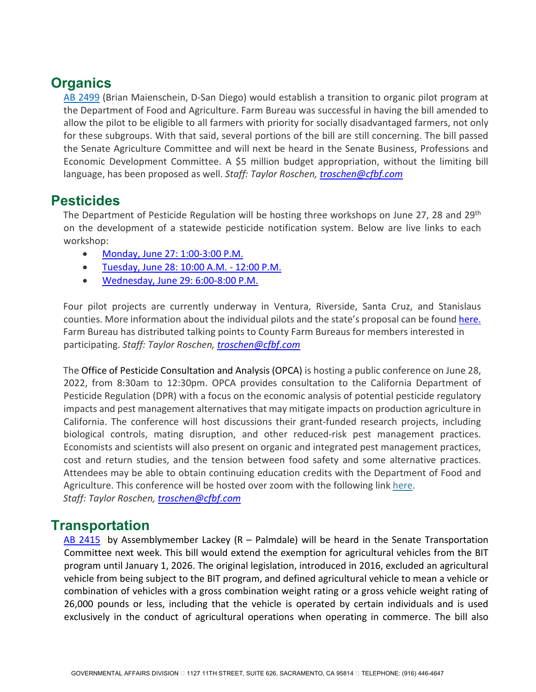# **Organics**

[AB 2499](https://leginfo.legislature.ca.gov/faces/billNavClient.xhtml?bill_id=202120220AB2499) (Brian Maienschein, D-San Diego) would establish a transition to organic pilot program at the Department of Food and Agriculture. Farm Bureau was successful in having the bill amended to allow the pilot to be eligible to all farmers with priority for socially disadvantaged farmers, not only for these subgroups. With that said, several portions of the bill are still concerning. The bill passed the Senate Agriculture Committee and will next be heard in the Senate Business, Professions and Economic Development Committee. A \$5 million budget appropriation, without the limiting bill language, has been proposed as well. *Staff: Taylor Roschen, [troschen@cfbf.com](mailto:troschen@cfbf.com)*

## **Pesticides**

The Department of Pesticide Regulation will be hosting three workshops on June 27, 28 and 29<sup>th</sup> on the development of a statewide pesticide notification system. Below are live links to each workshop:

- [Monday, June 27: 1:00-3:00 P.M.](https://nam10.safelinks.protection.outlook.com/?url=https%3A%2F%2Fus02web.zoom.us%2Fj%2F86286216806%3Fpwd%3DELUzEsAlL1JSopLEJNqohIgFeMgHlN.1&data=05%7C01%7Ctroschen%40cfbf.com%7Cab30fb82e7cf47d25d3308da45b77fda%7C8213ac7c9da54f9b9c40e0372e5a7659%7C0%7C1%7C637898951681521338%7CUnknown%7CTWFpbGZsb3d8eyJWIjoiMC4wLjAwMDAiLCJQIjoiV2luMzIiLCJBTiI6Ik1haWwiLCJXVCI6Mn0%3D%7C1000%7C%7C%7C&sdata=xRsnUugUHQX9xx7Cl3VNCNdvBDH8tLzDI9f1Zalk0xw%3D&reserved=0)
- [Tuesday, June 28: 10:00 A.M. 12:00 P.M.](https://nam10.safelinks.protection.outlook.com/?url=https%3A%2F%2Fus02web.zoom.us%2Fj%2F86403912510%3Fpwd%3D6kPR63CXW7lnlHWMERFd66-mKhwwyF.1&data=05%7C01%7Ctroschen%40cfbf.com%7Cab30fb82e7cf47d25d3308da45b77fda%7C8213ac7c9da54f9b9c40e0372e5a7659%7C0%7C1%7C637898951681521338%7CUnknown%7CTWFpbGZsb3d8eyJWIjoiMC4wLjAwMDAiLCJQIjoiV2luMzIiLCJBTiI6Ik1haWwiLCJXVCI6Mn0%3D%7C1000%7C%7C%7C&sdata=kUllB5e5CmGYoiymjFTOw%2FbD6UafbjeeC3jLhAHqbso%3D&reserved=0)
- [Wednesday, June 29: 6:00-8:00 P.M.](https://nam10.safelinks.protection.outlook.com/?url=https%3A%2F%2Fus02web.zoom.us%2Fj%2F81751179873%3Fpwd%3DB8Dx3UvzMh8ehKryXsmf6pYTXSYeFB.1&data=05%7C01%7Ctroschen%40cfbf.com%7Cab30fb82e7cf47d25d3308da45b77fda%7C8213ac7c9da54f9b9c40e0372e5a7659%7C0%7C1%7C637898951681521338%7CUnknown%7CTWFpbGZsb3d8eyJWIjoiMC4wLjAwMDAiLCJQIjoiV2luMzIiLCJBTiI6Ik1haWwiLCJXVCI6Mn0%3D%7C1000%7C%7C%7C&sdata=srQoJvp4Vwyz0FD4YYa9UkWZmkc4Jp%2BjL1Bg0ah8P8k%3D&reserved=0)

Four pilot projects are currently underway in Ventura, Riverside, Santa Cruz, and Stanislaus counties. More information about the individual pilots and the state's proposal can be found [here.](https://nam10.safelinks.protection.outlook.com/?url=https%3A%2F%2Fwww.cdpr.ca.gov%2Fdocs%2Fpesticide_notification_network%2F&data=05%7C01%7Ctroschen%40cfbf.com%7Cab30fb82e7cf47d25d3308da45b77fda%7C8213ac7c9da54f9b9c40e0372e5a7659%7C0%7C1%7C637898951681521338%7CUnknown%7CTWFpbGZsb3d8eyJWIjoiMC4wLjAwMDAiLCJQIjoiV2luMzIiLCJBTiI6Ik1haWwiLCJXVCI6Mn0%3D%7C1000%7C%7C%7C&sdata=CN%2FqX5AXK6VkTLc3h%2FJM46ns8Kf%2B%2FGxHZe8olaBpcKg%3D&reserved=0) Farm Bureau has distributed talking points to County Farm Bureaus for members interested in participating. *Staff: Taylor Roschen, [troschen@cfbf.com](mailto:troschen@cfbf.com)*

The Office of Pesticide Consultation and Analysis (OPCA) is hosting a public conference on June 28, 2022, from 8:30am to 12:30pm. OPCA provides consultation to the California Department of Pesticide Regulation (DPR) with a focus on the economic analysis of potential pesticide regulatory impacts and pest management alternatives that may mitigate impacts on production agriculture in California. The conference will host discussions their grant-funded research projects, including biological controls, mating disruption, and other reduced-risk pest management practices. Economists and scientists will also present on organic and integrated pest management practices, cost and return studies, and the tension between food safety and some alternative practices. Attendees may be able to obtain continuing education credits with the Department of Food and Agriculture. This conference will be hosted over zoom with the following link [here.](https://nam10.safelinks.protection.outlook.com/?url=https%3A%2F%2Fus06web.zoom.us%2Fwebinar%2Fregister%2FWN_GSYU3RuYSCaITMFteEtsEQ&data=05%7C01%7Ctroschen%40cfbf.com%7C19b4cd8d5e9d4f35862808da4591d9e7%7C8213ac7c9da54f9b9c40e0372e5a7659%7C0%7C0%7C637898789985799276%7CUnknown%7CTWFpbGZsb3d8eyJWIjoiMC4wLjAwMDAiLCJQIjoiV2luMzIiLCJBTiI6Ik1haWwiLCJXVCI6Mn0%3D%7C3000%7C%7C%7C&sdata=qLduCk0eEZSureObDXca%2BcntfHrpCl2ksn7VGnoHp%2Fc%3D&reserved=0)

*Staff: Taylor Roschen, [troschen@cfbf.com](mailto:troschen@cfbf.com)*

### **Transportation**

[AB 2415](https://leginfo.legislature.ca.gov/faces/billNavClient.xhtml?bill_id=202120220AB2415) by Assemblymember Lackey (R – Palmdale) will be heard in the Senate Transportation Committee next week. This bill would extend the exemption for agricultural vehicles from the BIT program until January 1, 2026. The original legislation, introduced in 2016, excluded an agricultural vehicle from being subject to the BIT program, and defined agricultural vehicle to mean a vehicle or combination of vehicles with a gross combination weight rating or a gross vehicle weight rating of 26,000 pounds or less, including that the vehicle is operated by certain individuals and is used exclusively in the conduct of agricultural operations when operating in commerce. The bill also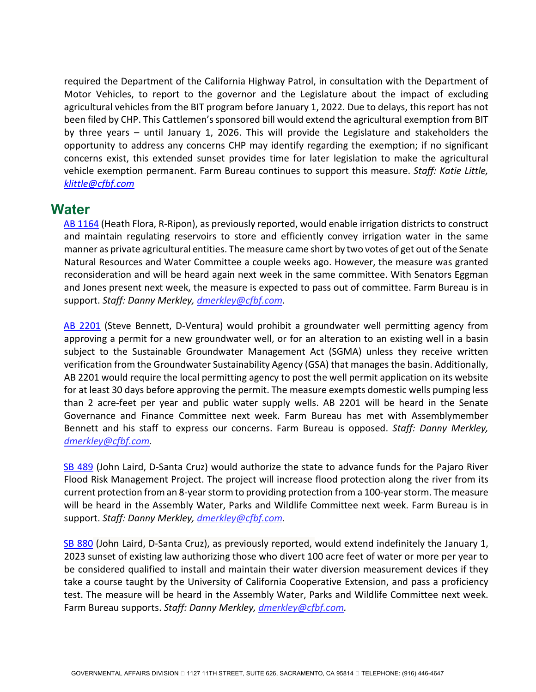required the Department of the California Highway Patrol, in consultation with the Department of Motor Vehicles, to report to the governor and the Legislature about the impact of excluding agricultural vehicles from the BIT program before January 1, 2022. Due to delays, this report has not been filed by CHP. This Cattlemen's sponsored bill would extend the agricultural exemption from BIT by three years – until January 1, 2026. This will provide the Legislature and stakeholders the opportunity to address any concerns CHP may identify regarding the exemption; if no significant concerns exist, this extended sunset provides time for later legislation to make the agricultural vehicle exemption permanent. Farm Bureau continues to support this measure. *Staff: Katie Little, [klittle@cfbf.com](mailto:klittle@cfbf.com)*

### **Water**

[AB 1164](https://leginfo.legislature.ca.gov/faces/billNavClient.xhtml?bill_id=202120220AB1164) (Heath Flora, R-Ripon), as previously reported, would enable irrigation districts to construct and maintain regulating reservoirs to store and efficiently convey irrigation water in the same manner as private agricultural entities. The measure came short by two votes of get out of the Senate Natural Resources and Water Committee a couple weeks ago. However, the measure was granted reconsideration and will be heard again next week in the same committee. With Senators Eggman and Jones present next week, the measure is expected to pass out of committee. Farm Bureau is in support. *Staff: Danny Merkley, [dmerkley@cfbf.com.](mailto:dmerkley@cfbf.com)* 

[AB 2201](https://leginfo.legislature.ca.gov/faces/billNavClient.xhtml?bill_id=202120220AB2201) (Steve Bennett, D-Ventura) would prohibit a groundwater well permitting agency from approving a permit for a new groundwater well, or for an alteration to an existing well in a basin subject to the Sustainable Groundwater Management Act (SGMA) unless they receive written verification from the Groundwater Sustainability Agency (GSA) that manages the basin. Additionally, AB 2201 would require the local permitting agency to post the well permit application on its website for at least 30 days before approving the permit. The measure exempts domestic wells pumping less than 2 acre-feet per year and public water supply wells. AB 2201 will be heard in the Senate Governance and Finance Committee next week. Farm Bureau has met with Assemblymember Bennett and his staff to express our concerns. Farm Bureau is opposed. *Staff: Danny Merkley, [dmerkley@cfbf.com.](mailto:dmerkley@cfbf.com)*

[SB 489](https://leginfo.legislature.ca.gov/faces/billNavClient.xhtml?bill_id=202120220SB489) (John Laird, D-Santa Cruz) would authorize the state to advance funds for the Pajaro River Flood Risk Management Project. The project will increase flood protection along the river from its current protection from an 8-year storm to providing protection from a 100-year storm. The measure will be heard in the Assembly Water, Parks and Wildlife Committee next week. Farm Bureau is in support. *Staff: Danny Merkley, [dmerkley@cfbf.com.](mailto:dmerkley@cfbf.com)*

[SB 880](https://leginfo.legislature.ca.gov/faces/billNavClient.xhtml?bill_id=202120220SB880) (John Laird, D-Santa Cruz), as previously reported, would extend indefinitely the January 1, 2023 sunset of existing law authorizing those who divert 100 acre feet of water or more per year to be considered qualified to install and maintain their water diversion measurement devices if they take a course taught by the University of California Cooperative Extension, and pass a proficiency test. The measure will be heard in the Assembly Water, Parks and Wildlife Committee next week. Farm Bureau supports. *Staff: Danny Merkley, [dmerkley@cfbf.com.](mailto:dmerkley@cfbf.com)*